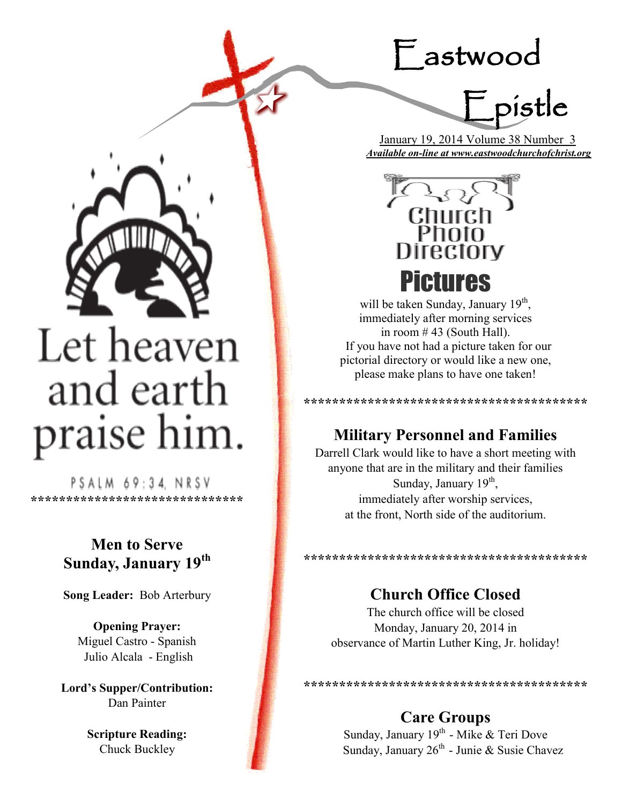## Eastwood



 January 19, 2014 Volume 38 Number 3 *Available on-line at www.eastwoodchurchofchrist.org*



# Let heaven and earth praise him.

PSALM 69:34, NRSV **\*\*\*\*\*\*\*\*\*\*\*\*\*\*\*\*\*\*\*\*\*\*\*\*\*\*\*\*\*\***

## **Men to Serve Sunday, January 19th**

**Song Leader:** Bob Arterbury

**Opening Prayer:** Miguel Castro - Spanish Julio Alcala - English

**Lord's Supper/Contribution:**  Dan Painter

> **Scripture Reading:**  Chuck Buckley



will be taken Sunday, January 19<sup>th</sup>, immediately after morning services in room # 43 (South Hall). If you have not had a picture taken for our pictorial directory or would like a new one, please make plans to have one taken!

**\*\*\*\*\*\*\*\*\*\*\*\*\*\*\*\*\*\*\*\*\*\*\*\*\*\*\*\*\*\*\*\*\*\*\*\*\*\*\*\***

## **Military Personnel and Families**

Darrell Clark would like to have a short meeting with anyone that are in the military and their families Sunday, January 19<sup>th</sup>, immediately after worship services, at the front, North side of the auditorium.

**\*\*\*\*\*\*\*\*\*\*\*\*\*\*\*\*\*\*\*\*\*\*\*\*\*\*\*\*\*\*\*\*\*** 

## **Church Office Closed**

The church office will be closed Monday, January 20, 2014 in observance of Martin Luther King, Jr. holiday!

**\*\*\*\*\*\*\*\*\*\*\*\*\*\*\*\*\*\*\*\*\*\*\*\*\*\*\*\*\*\*\*\*\*\*\*\*\*\*\*\***

## **Care Groups**

Sunday, January 19<sup>th</sup> - Mike & Teri Dove Sunday, January  $26^{th}$  - Junie & Susie Chavez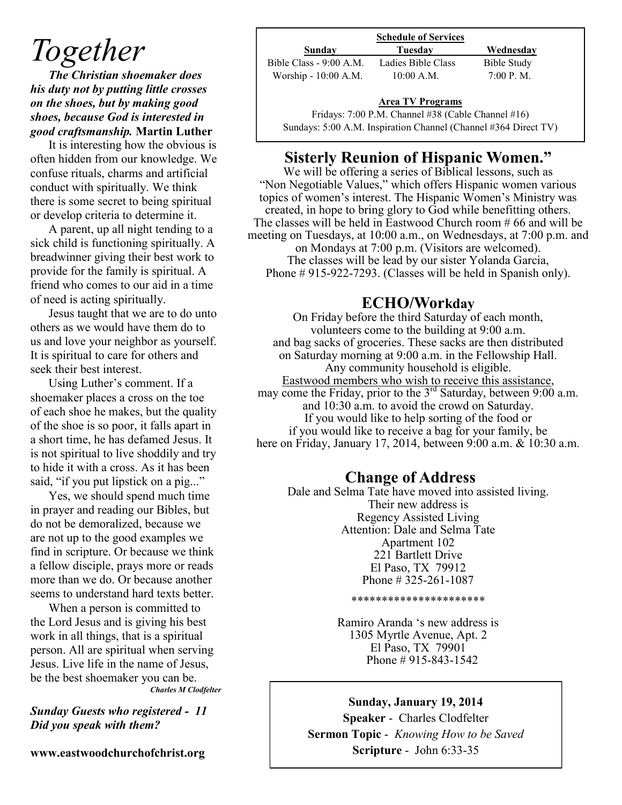## *Together*

*The Christian shoemaker does his duty not by putting little crosses on the shoes, but by making good shoes, because God is interested in good craftsmanship.* **Martin Luther**

It is interesting how the obvious is often hidden from our knowledge. We confuse rituals, charms and artificial conduct with spiritually. We think there is some secret to being spiritual or develop criteria to determine it.

A parent, up all night tending to a sick child is functioning spiritually. A breadwinner giving their best work to provide for the family is spiritual. A friend who comes to our aid in a time of need is acting spiritually.

Jesus taught that we are to do unto others as we would have them do to us and love your neighbor as yourself. It is spiritual to care for others and seek their best interest.

Using Luther's comment. If a shoemaker places a cross on the toe of each shoe he makes, but the quality of the shoe is so poor, it falls apart in a short time, he has defamed Jesus. It is not spiritual to live shoddily and try to hide it with a cross. As it has been said, "if you put lipstick on a pig..."

Yes, we should spend much time in prayer and reading our Bibles, but do not be demoralized, because we are not up to the good examples we find in scripture. Or because we think a fellow disciple, prays more or reads more than we do. Or because another seems to understand hard texts better.

When a person is committed to the Lord Jesus and is giving his best work in all things, that is a spiritual person. All are spiritual when serving Jesus. Live life in the name of Jesus, be the best shoemaker you can be. *Charles M Clodfelter*

#### *Sunday Guests who registered - 11 Did you speak with them?*

**www.eastwoodchurchofchrist.org**

|                         | <b>Schedule of Services</b>                        |             |
|-------------------------|----------------------------------------------------|-------------|
| Sunday                  | Tuesdav                                            | Wednesday   |
| Bible Class - 9:00 A.M. | Ladies Bible Class                                 | Bible Study |
| Worship - 10:00 A.M.    | $10:00$ A.M.                                       | 7:00 P. M.  |
|                         | <b>Area TV Programs</b>                            |             |
|                         | Fridays: 7:00 P.M. Channel #38 (Cable Channel #16) |             |

#### **Area TV Programs**

Sundays: 5:00 A.M. Inspiration Channel (Channel #364 Direct TV)

## **Sisterly Reunion of Hispanic Women."**

We will be offering a series of Biblical lessons, such as "Non Negotiable Values," which offers Hispanic women various topics of women's interest. The Hispanic Women's Ministry was created, in hope to bring glory to God while benefitting others. The classes will be held in Eastwood Church room # 66 and will be meeting on Tuesdays, at 10:00 a.m., on Wednesdays, at 7:00 p.m. and on Mondays at 7:00 p.m. (Visitors are welcomed). The classes will be lead by our sister Yolanda Garcia, Phone # 915-922-7293. (Classes will be held in Spanish only).

## **ECHO/Workday**

On Friday before the third Saturday of each month, volunteers come to the building at 9:00 a.m. and bag sacks of groceries. These sacks are then distributed on Saturday morning at 9:00 a.m. in the Fellowship Hall. Any community household is eligible. Eastwood members who wish to receive this assistance, may come the Friday, prior to the  $3<sup>rd</sup>$  Saturday, between 9:00 a.m. and 10:30 a.m. to avoid the crowd on Saturday. If you would like to help sorting of the food or if you would like to receive a bag for your family, be here on Friday, January 17, 2014, between 9:00 a.m. & 10:30 a.m.

## **Change of Address**

Dale and Selma Tate have moved into assisted living. Their new address is Regency Assisted Living Attention: Dale and Selma Tate Apartment 102 221 Bartlett Drive El Paso, TX 79912 Phone # 325-261-1087

#### \*\*\*\*\*\*\*\*\*\*\*\*\*\*\*\*\*\*\*\*\*\*

Ramiro Aranda 's new address is 1305 Myrtle Avenue, Apt. 2 El Paso, TX 79901 Phone # 915-843-1542

### **Sunday, January 19, 2014**

**Speaker** - Charles Clodfelter **Sermon Topic** - *Knowing How to be Saved* **Scripture** - John 6:33-35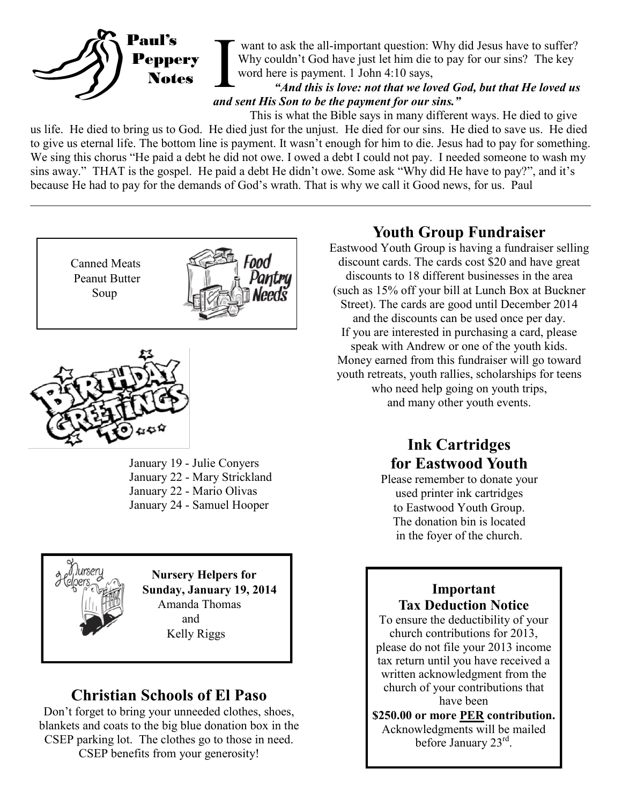

want to ask the all-important question: Why did Jesus have to suffer? Why couldn't God have just let him die to pay for our sins? The key word here is payment. 1 John 4:10 says,

### *"And this is love: not that we loved God, but that He loved us and sent His Son to be the payment for our sins."*

This is what the Bible says in many different ways. He died to give us life. He died to bring us to God. He died just for the unjust. He died for our sins. He died to save us. He died to give us eternal life. The bottom line is payment. It wasn't enough for him to die. Jesus had to pay for something. We sing this chorus "He paid a debt he did not owe. I owed a debt I could not pay. I needed someone to wash my sins away." THAT is the gospel. He paid a debt He didn't owe. Some ask "Why did He have to pay?", and it's because He had to pay for the demands of God's wrath. That is why we call it Good news, for us. Paul  $\_$  , and the contribution of the contribution of the contribution of the contribution of the contribution of  $\mathcal{L}_\text{max}$ 

 Canned Meats Peanut Butter Soup





January 19 - Julie Conyers January 22 - Mary Strickland January 22 - Mario Olivas January 24 - Samuel Hooper



 **Nursery Helpers for Sunday, January 19, 2014** Amanda Thomas and Kelly Riggs

## **Christian Schools of El Paso**

Don't forget to bring your unneeded clothes, shoes, blankets and coats to the big blue donation box in the CSEP parking lot. The clothes go to those in need. CSEP benefits from your generosity!

## **Youth Group Fundraiser**

Eastwood Youth Group is having a fundraiser selling discount cards. The cards cost \$20 and have great discounts to 18 different businesses in the area (such as 15% off your bill at Lunch Box at Buckner Street). The cards are good until December 2014 and the discounts can be used once per day. If you are interested in purchasing a card, please speak with Andrew or one of the youth kids. Money earned from this fundraiser will go toward youth retreats, youth rallies, scholarships for teens who need help going on youth trips, and many other youth events.

## **Ink Cartridges for Eastwood Youth**

Please remember to donate your used printer ink cartridges to Eastwood Youth Group. The donation bin is located in the foyer of the church.

## **Important Tax Deduction Notice**

To ensure the deductibility of your church contributions for 2013, please do not file your 2013 income tax return until you have received a written acknowledgment from the church of your contributions that have been

**\$250.00 or more PER contribution.**  Acknowledgments will be mailed before January 23rd.